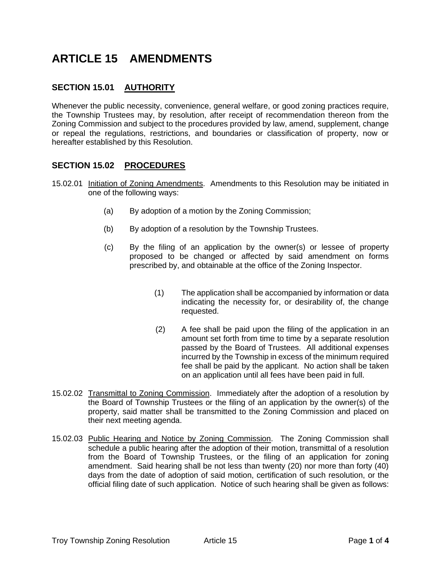# **ARTICLE 15 AMENDMENTS**

# **SECTION 15.01 AUTHORITY**

Whenever the public necessity, convenience, general welfare, or good zoning practices require, the Township Trustees may, by resolution, after receipt of recommendation thereon from the Zoning Commission and subject to the procedures provided by law, amend, supplement, change or repeal the regulations, restrictions, and boundaries or classification of property, now or hereafter established by this Resolution.

### **SECTION 15.02 PROCEDURES**

- 15.02.01 Initiation of Zoning Amendments. Amendments to this Resolution may be initiated in one of the following ways:
	- (a) By adoption of a motion by the Zoning Commission;
	- (b) By adoption of a resolution by the Township Trustees.
	- (c) By the filing of an application by the owner(s) or lessee of property proposed to be changed or affected by said amendment on forms prescribed by, and obtainable at the office of the Zoning Inspector.
		- (1) The application shall be accompanied by information or data indicating the necessity for, or desirability of, the change requested.
		- (2) A fee shall be paid upon the filing of the application in an amount set forth from time to time by a separate resolution passed by the Board of Trustees. All additional expenses incurred by the Township in excess of the minimum required fee shall be paid by the applicant. No action shall be taken on an application until all fees have been paid in full.
- 15.02.02 Transmittal to Zoning Commission. Immediately after the adoption of a resolution by the Board of Township Trustees or the filing of an application by the owner(s) of the property, said matter shall be transmitted to the Zoning Commission and placed on their next meeting agenda.
- 15.02.03 Public Hearing and Notice by Zoning Commission. The Zoning Commission shall schedule a public hearing after the adoption of their motion, transmittal of a resolution from the Board of Township Trustees, or the filing of an application for zoning amendment. Said hearing shall be not less than twenty (20) nor more than forty (40) days from the date of adoption of said motion, certification of such resolution, or the official filing date of such application. Notice of such hearing shall be given as follows: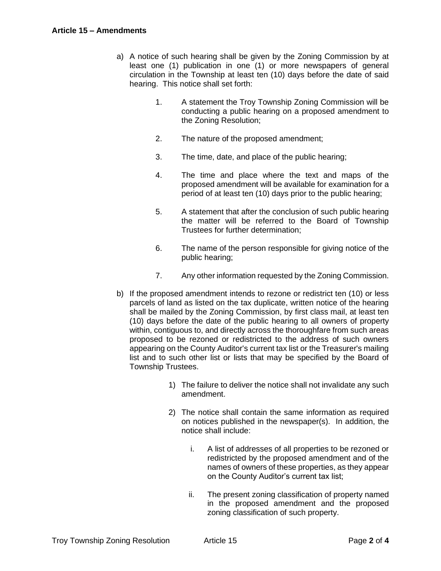- a) A notice of such hearing shall be given by the Zoning Commission by at least one (1) publication in one (1) or more newspapers of general circulation in the Township at least ten (10) days before the date of said hearing. This notice shall set forth:
	- 1. A statement the Troy Township Zoning Commission will be conducting a public hearing on a proposed amendment to the Zoning Resolution;
	- 2. The nature of the proposed amendment;
	- 3. The time, date, and place of the public hearing;
	- 4. The time and place where the text and maps of the proposed amendment will be available for examination for a period of at least ten (10) days prior to the public hearing;
	- 5. A statement that after the conclusion of such public hearing the matter will be referred to the Board of Township Trustees for further determination;
	- 6. The name of the person responsible for giving notice of the public hearing;
	- 7. Any other information requested by the Zoning Commission.
- b) If the proposed amendment intends to rezone or redistrict ten (10) or less parcels of land as listed on the tax duplicate, written notice of the hearing shall be mailed by the Zoning Commission, by first class mail, at least ten (10) days before the date of the public hearing to all owners of property within, contiguous to, and directly across the thoroughfare from such areas proposed to be rezoned or redistricted to the address of such owners appearing on the County Auditor's current tax list or the Treasurer's mailing list and to such other list or lists that may be specified by the Board of Township Trustees.
	- 1) The failure to deliver the notice shall not invalidate any such amendment.
	- 2) The notice shall contain the same information as required on notices published in the newspaper(s). In addition, the notice shall include:
		- i. A list of addresses of all properties to be rezoned or redistricted by the proposed amendment and of the names of owners of these properties, as they appear on the County Auditor's current tax list;
		- ii. The present zoning classification of property named in the proposed amendment and the proposed zoning classification of such property.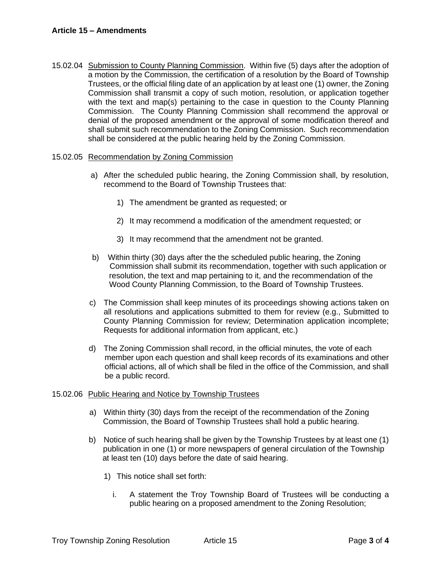15.02.04 Submission to County Planning Commission. Within five (5) days after the adoption of a motion by the Commission, the certification of a resolution by the Board of Township Trustees, or the official filing date of an application by at least one (1) owner, the Zoning Commission shall transmit a copy of such motion, resolution, or application together with the text and map(s) pertaining to the case in question to the County Planning Commission. The County Planning Commission shall recommend the approval or denial of the proposed amendment or the approval of some modification thereof and shall submit such recommendation to the Zoning Commission. Such recommendation shall be considered at the public hearing held by the Zoning Commission.

#### 15.02.05 Recommendation by Zoning Commission

- a) After the scheduled public hearing, the Zoning Commission shall, by resolution, recommend to the Board of Township Trustees that:
	- 1) The amendment be granted as requested; or
	- 2) It may recommend a modification of the amendment requested; or
	- 3) It may recommend that the amendment not be granted.
- b) Within thirty (30) days after the the scheduled public hearing, the Zoning Commission shall submit its recommendation, together with such application or resolution, the text and map pertaining to it, and the recommendation of the Wood County Planning Commission, to the Board of Township Trustees.
- c) The Commission shall keep minutes of its proceedings showing actions taken on all resolutions and applications submitted to them for review (e.g., Submitted to County Planning Commission for review; Determination application incomplete; Requests for additional information from applicant, etc.)
- d) The Zoning Commission shall record, in the official minutes, the vote of each member upon each question and shall keep records of its examinations and other official actions, all of which shall be filed in the office of the Commission, and shall be a public record.

#### 15.02.06 Public Hearing and Notice by Township Trustees

- a) Within thirty (30) days from the receipt of the recommendation of the Zoning Commission, the Board of Township Trustees shall hold a public hearing.
- b) Notice of such hearing shall be given by the Township Trustees by at least one (1) publication in one (1) or more newspapers of general circulation of the Township at least ten (10) days before the date of said hearing.
	- 1) This notice shall set forth:
		- i. A statement the Troy Township Board of Trustees will be conducting a public hearing on a proposed amendment to the Zoning Resolution;